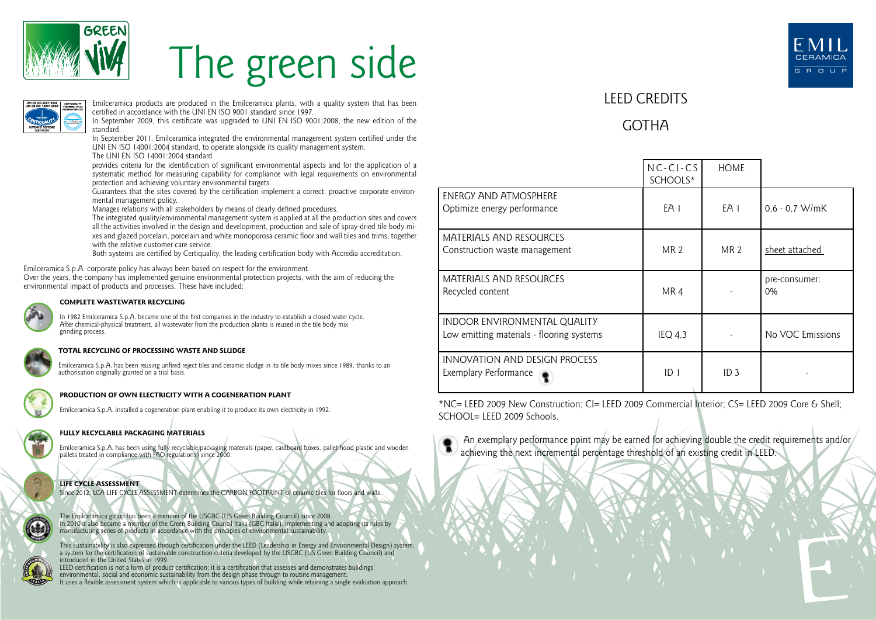

# The green side



Emilceramica products are produced in the Emilceramica plants, with a quality system that has been certified in accordance with the UNI EN ISO 9001 standard since 1997.

In September 2009, this certificate was upgraded to UNI EN ISO 9001:2008, the new edition of the standard.

In September 2011, Emilceramica integrated the environmental management system certified under the UNI EN ISO 14001:2004 standard, to operate alongside its quality management system.

The UNI EN ISO 14001:2004 standard

provides criteria for the identification of significant environmental aspects and for the application of a systematic method for measuring capability for compliance with legal requirements on environmental protection and achieving voluntary environmental targets.

Guarantees that the sites covered by the certification implement a correct, proactive corporate environmental management policy.

Manages relations with all stakeholders by means of clearly defined procedures.

The integrated quality/environmental management system is applied at all the production sites and covers all the activities involved in the design and development, production and sale of spray-dried tile body mixes and glazed porcelain, porcelain and white monoporosa ceramic floor and wall tiles and trims, together with the relative customer care service.

Both systems are certified by Certiquality, the leading certification body with Accredia accreditation.

Emilceramica S.p.A. corporate policy has always been based on respect for the environment.

Over the years, the company has implemented genuine environmental protection projects, with the aim of reducing the environmental impact of products and processes. These have included:



#### **COMPLETE WASTEWATER RECYCLING**

In 1982 Emilceramica S.p.A. became one of the first companies in the industry to establish a closed water cycle. After chemical-physical treatment, all wastewater from the production plants is reused in the tile body mix grinding process.

#### **TOTAL RECYCLING OF PROCESSING WASTE AND SLUDGE**

Emilceramica S.p.A. has been reusing unfired reject tiles and ceramic sludge in its tile body mixes since 1989, thanks to an authorisation originally granted on a trial basis.



#### **PRODUCTION OF OWN ELECTRICITY WITH A COGENERATION PLANT**

Emilceramica S.p.A. installed a cogeneration plant enabling it to produce its own electricity in 1992.

### **FULLY RECYCLABLE PACKAGING MATERIALS**

Emilceramica S.p.A. has been using fully recyclable packaging materials (paper, cardboard boxes, pallet hood plastic and wooden pallets treated in compliance with FAO regulations) since 2000.



Since 2012: LCA-LIFE CYCLE ASSESSMENT determines the CARBON FOOTPRINT of ceramic tiles for floors and walls.

The Emilceramica group has been a member of the USGBC (US Green Building Council) since 2008. In 2010 it also became a member of the Green Building Council Italia (GBC Italia), implementing and adopting its rules by manufacturing series of products in accordance with the principles of environmental sustainability.

This sustainability is also expressed through certification under the LEED (Leadership in Energy and Environmental Design) system,<br>a system for the certification of sustainable construction criteria developed by the USGBC introduced in the United States in 1999.

LEED certification is not a form of product certification; it is a certification that assesses and demonstrates buildings' environmental, social and economic sustainability from the design phase through to routine management. It uses a flexible assessment system which is applicable to various types of building while retaining a single evaluation approach.



## LEED CREDITS

## GOTHA

|                                                                           | $NC-CI-CS$<br>SCHOOLS* | <b>HOME</b>     |                     |
|---------------------------------------------------------------------------|------------------------|-----------------|---------------------|
| ENERGY AND ATMOSPHERE<br>Optimize energy performance                      | EA 1                   | EA I            | $0.6 - 0.7$ W/mK    |
| <b>MATERIALS AND RESOURCES</b><br>Construction waste management           | <b>MR 2</b>            | MR <sub>2</sub> | sheet attached      |
| <b>MATERIALS AND RESOURCES</b><br>Recycled content                        | MR4                    |                 | pre-consumer:<br>0% |
| INDOOR ENVIRONMENTAL QUALITY<br>Low emitting materials - flooring systems | $IEQ$ 4.3              |                 | No VOC Emissions    |
| INNOVATION AND DESIGN PROCESS<br>Exemplary Performance                    | ID <sub>1</sub>        | ID <sub>3</sub> |                     |

\*NC= LEED 2009 New Construction; CI= LEED 2009 Commercial Interior; CS= LEED 2009 Core & Shell;  $SCHOOI = I FFD 2009$  Schools.



An exemplary performance point may be earned for achieving double the credit requirements and/or/ achieving the next incremental percentage threshold of an existing credit in LEED.